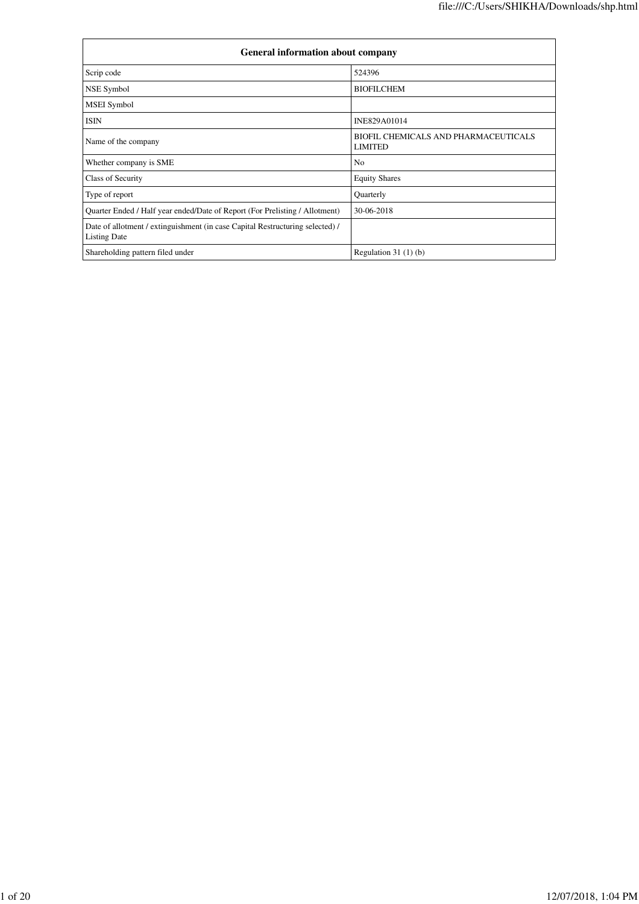| <b>General information about company</b>                                                             |                                                               |  |  |  |  |  |  |
|------------------------------------------------------------------------------------------------------|---------------------------------------------------------------|--|--|--|--|--|--|
| Scrip code                                                                                           | 524396                                                        |  |  |  |  |  |  |
| NSE Symbol                                                                                           | <b>BIOFILCHEM</b>                                             |  |  |  |  |  |  |
| <b>MSEI</b> Symbol                                                                                   |                                                               |  |  |  |  |  |  |
| <b>ISIN</b>                                                                                          | INE829A01014                                                  |  |  |  |  |  |  |
| Name of the company                                                                                  | <b>BIOFIL CHEMICALS AND PHARMACEUTICALS</b><br><b>LIMITED</b> |  |  |  |  |  |  |
| Whether company is SME                                                                               | N <sub>0</sub>                                                |  |  |  |  |  |  |
| Class of Security                                                                                    | <b>Equity Shares</b>                                          |  |  |  |  |  |  |
| Type of report                                                                                       | Quarterly                                                     |  |  |  |  |  |  |
| Quarter Ended / Half year ended/Date of Report (For Prelisting / Allotment)                          | 30-06-2018                                                    |  |  |  |  |  |  |
| Date of allotment / extinguishment (in case Capital Restructuring selected) /<br><b>Listing Date</b> |                                                               |  |  |  |  |  |  |
| Shareholding pattern filed under                                                                     | Regulation 31 $(1)(b)$                                        |  |  |  |  |  |  |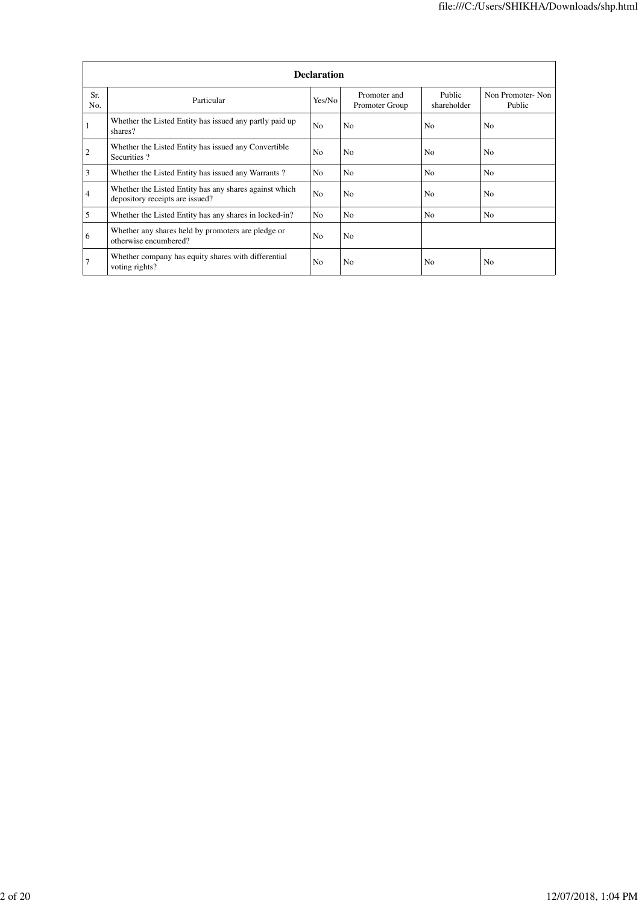|            | <b>Declaration</b>                                                                        |                |                                |                       |                            |  |  |  |  |  |  |
|------------|-------------------------------------------------------------------------------------------|----------------|--------------------------------|-----------------------|----------------------------|--|--|--|--|--|--|
| Sr.<br>No. | Particular                                                                                | Yes/No         | Promoter and<br>Promoter Group | Public<br>shareholder | Non Promoter-Non<br>Public |  |  |  |  |  |  |
|            | Whether the Listed Entity has issued any partly paid up<br>shares?                        | N <sub>o</sub> | N <sub>o</sub>                 | N <sub>0</sub>        | N <sub>0</sub>             |  |  |  |  |  |  |
| 2          | Whether the Listed Entity has issued any Convertible<br>Securities?                       | N <sub>o</sub> | N <sub>0</sub>                 | N <sub>0</sub>        | N <sub>0</sub>             |  |  |  |  |  |  |
| 3          | Whether the Listed Entity has issued any Warrants?                                        | No             | N <sub>0</sub>                 | N <sub>0</sub>        | N <sub>0</sub>             |  |  |  |  |  |  |
| 4          | Whether the Listed Entity has any shares against which<br>depository receipts are issued? | N <sub>0</sub> | N <sub>0</sub>                 | N <sub>0</sub>        | N <sub>0</sub>             |  |  |  |  |  |  |
| 5          | Whether the Listed Entity has any shares in locked-in?                                    | No             | N <sub>o</sub>                 | N <sub>0</sub>        | N <sub>0</sub>             |  |  |  |  |  |  |
| 6          | Whether any shares held by promoters are pledge or<br>otherwise encumbered?               | N <sub>o</sub> | N <sub>0</sub>                 |                       |                            |  |  |  |  |  |  |
| 7          | Whether company has equity shares with differential<br>voting rights?                     | N <sub>0</sub> | N <sub>0</sub>                 | N <sub>0</sub>        | N <sub>0</sub>             |  |  |  |  |  |  |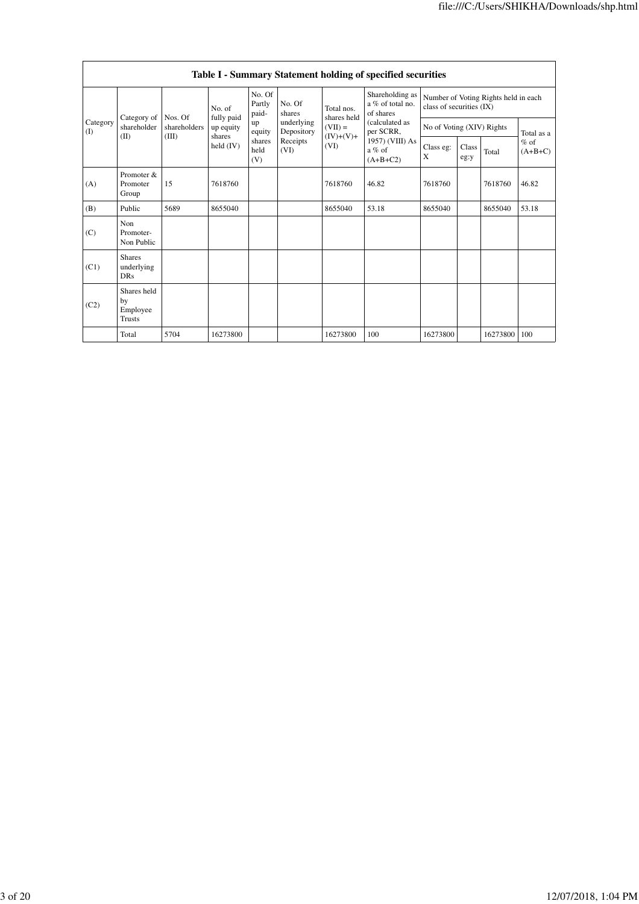|                 | Table I - Summary Statement holding of specified securities |                         |                         |                           |                          |                           |                                                                                                                              |                                                                  |               |          |                     |  |
|-----------------|-------------------------------------------------------------|-------------------------|-------------------------|---------------------------|--------------------------|---------------------------|------------------------------------------------------------------------------------------------------------------------------|------------------------------------------------------------------|---------------|----------|---------------------|--|
| Category<br>(I) |                                                             |                         | No. of                  | No. Of<br>Partly<br>paid- | No. Of<br>shares         | Total nos.<br>shares held | Shareholding as<br>a % of total no.<br>of shares<br>(calculated as<br>per SCRR,<br>1957) (VIII) As<br>$a\%$ of<br>$(A+B+C2)$ | Number of Voting Rights held in each<br>class of securities (IX) |               |          |                     |  |
|                 | Category of<br>shareholder                                  | Nos. Of<br>shareholders | fully paid<br>up equity | up<br>equity              | underlying<br>Depository | $(VII) =$                 |                                                                                                                              | No of Voting (XIV) Rights                                        |               |          | Total as a          |  |
|                 | (II)                                                        | (III)                   | shares<br>held $(IV)$   | shares<br>held<br>(V)     | Receipts<br>(VI)         | $(IV)+(V)+$<br>(VI)       |                                                                                                                              | Class eg:<br>X                                                   | Class<br>eg:y | Total    | $%$ of<br>$(A+B+C)$ |  |
| (A)             | Promoter &<br>Promoter<br>Group                             | 15                      | 7618760                 |                           |                          | 7618760                   | 46.82                                                                                                                        | 7618760                                                          |               | 7618760  | 46.82               |  |
| (B)             | Public                                                      | 5689                    | 8655040                 |                           |                          | 8655040                   | 53.18                                                                                                                        | 8655040                                                          |               | 8655040  | 53.18               |  |
| (C)             | Non<br>Promoter-<br>Non Public                              |                         |                         |                           |                          |                           |                                                                                                                              |                                                                  |               |          |                     |  |
| (C1)            | <b>Shares</b><br>underlying<br><b>DRs</b>                   |                         |                         |                           |                          |                           |                                                                                                                              |                                                                  |               |          |                     |  |
| (C2)            | Shares held<br>by<br>Employee<br><b>Trusts</b>              |                         |                         |                           |                          |                           |                                                                                                                              |                                                                  |               |          |                     |  |
|                 | Total                                                       | 5704                    | 16273800                |                           |                          | 16273800                  | 100                                                                                                                          | 16273800                                                         |               | 16273800 | 100                 |  |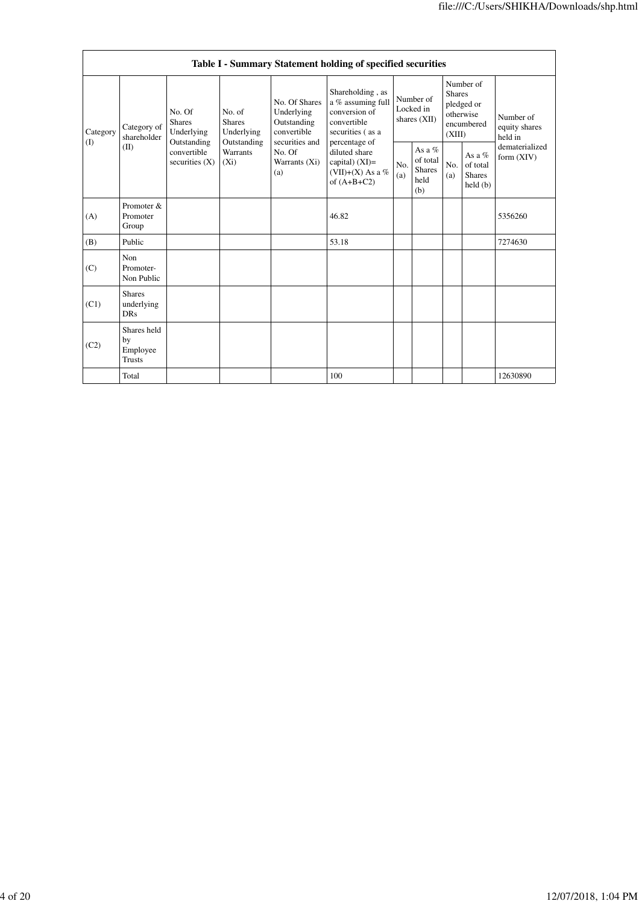|                 |                                           |                                                                                                                                                                 |            |                                                                                                               | Table I - Summary Statement holding of specified securities                                                                                                                           |                                          |                                                      |                                                                               |                                                  |                                       |
|-----------------|-------------------------------------------|-----------------------------------------------------------------------------------------------------------------------------------------------------------------|------------|---------------------------------------------------------------------------------------------------------------|---------------------------------------------------------------------------------------------------------------------------------------------------------------------------------------|------------------------------------------|------------------------------------------------------|-------------------------------------------------------------------------------|--------------------------------------------------|---------------------------------------|
| Category<br>(I) | Category of<br>shareholder<br>(II)        | No. of<br>No. Of<br><b>Shares</b><br><b>Shares</b><br>Underlying<br>Outstanding<br>Outstanding<br>convertible<br><b>Warrants</b><br>securities $(X)$<br>$(X_i)$ | Underlying | No. Of Shares<br>Underlying<br>Outstanding<br>convertible<br>securities and<br>No. Of<br>Warrants (Xi)<br>(a) | Shareholding, as<br>a % assuming full<br>conversion of<br>convertible<br>securities (as a<br>percentage of<br>diluted share<br>capital) $(XI)$ =<br>(VII)+(X) As a %<br>of $(A+B+C2)$ | Number of<br>Locked in<br>shares $(XII)$ |                                                      | Number of<br><b>Shares</b><br>pledged or<br>otherwise<br>encumbered<br>(XIII) |                                                  | Number of<br>equity shares<br>held in |
|                 |                                           |                                                                                                                                                                 |            |                                                                                                               |                                                                                                                                                                                       | No.<br>(a)                               | As a $%$<br>of total<br><b>Shares</b><br>held<br>(b) | No.<br>(a)                                                                    | As a $%$<br>of total<br><b>Shares</b><br>held(b) | dematerialized<br>form $(XIV)$        |
| (A)             | Promoter &<br>Promoter<br>Group           |                                                                                                                                                                 |            |                                                                                                               | 46.82                                                                                                                                                                                 |                                          |                                                      |                                                                               |                                                  | 5356260                               |
| (B)             | Public                                    |                                                                                                                                                                 |            |                                                                                                               | 53.18                                                                                                                                                                                 |                                          |                                                      |                                                                               |                                                  | 7274630                               |
| (C)             | Non<br>Promoter-<br>Non Public            |                                                                                                                                                                 |            |                                                                                                               |                                                                                                                                                                                       |                                          |                                                      |                                                                               |                                                  |                                       |
| (C1)            | <b>Shares</b><br>underlying<br><b>DRs</b> |                                                                                                                                                                 |            |                                                                                                               |                                                                                                                                                                                       |                                          |                                                      |                                                                               |                                                  |                                       |
| (C2)            | Shares held<br>by<br>Employee<br>Trusts   |                                                                                                                                                                 |            |                                                                                                               |                                                                                                                                                                                       |                                          |                                                      |                                                                               |                                                  |                                       |
|                 | Total                                     |                                                                                                                                                                 |            |                                                                                                               | 100                                                                                                                                                                                   |                                          |                                                      |                                                                               |                                                  | 12630890                              |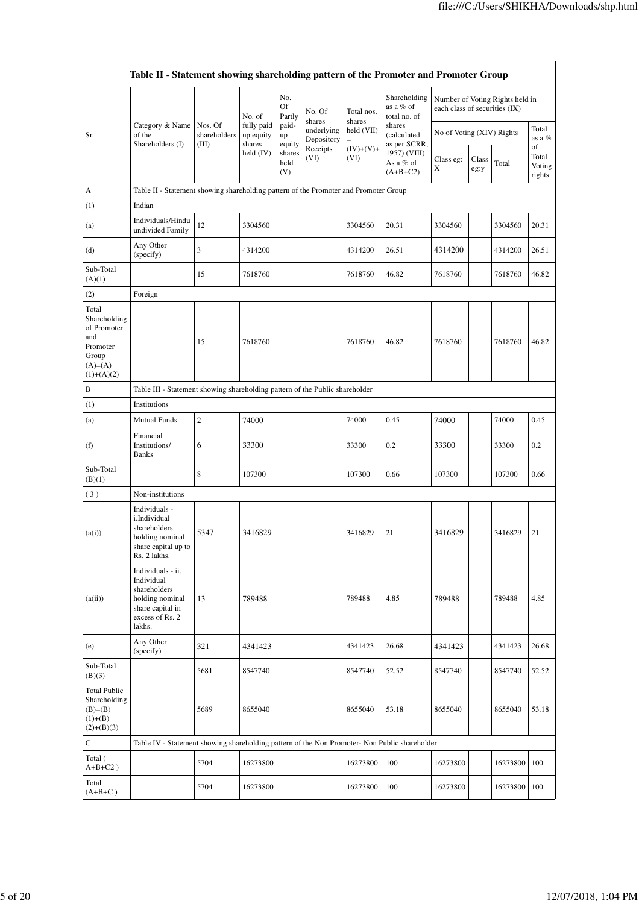|                                                                                                | Table II - Statement showing shareholding pattern of the Promoter and Promoter Group                                |                         |                                                  |                                 |                                              |                      |                                           |                               |               |                                 |                                 |
|------------------------------------------------------------------------------------------------|---------------------------------------------------------------------------------------------------------------------|-------------------------|--------------------------------------------------|---------------------------------|----------------------------------------------|----------------------|-------------------------------------------|-------------------------------|---------------|---------------------------------|---------------------------------|
|                                                                                                |                                                                                                                     |                         | No. of                                           | No.<br>Of<br>Partly             | No. Of<br>shares                             | Total nos.<br>shares | Shareholding<br>as a % of<br>total no. of | each class of securities (IX) |               | Number of Voting Rights held in |                                 |
| Sr.                                                                                            | Category & Name<br>of the                                                                                           | Nos. Of<br>shareholders | fully paid<br>up equity<br>shares<br>held $(IV)$ | paid-<br>up                     | underlying<br>Depository<br>Receipts<br>(VI) | held (VII)<br>$=$    | shares<br>(calculated<br>as per SCRR,     | No of Voting (XIV) Rights     |               |                                 | Total<br>as a %                 |
|                                                                                                | Shareholders (I)                                                                                                    | (III)                   |                                                  | equity<br>shares<br>held<br>(V) |                                              | $(IV)+(V)+$<br>(VI)  | 1957) (VIII)<br>As a % of<br>$(A+B+C2)$   | Class eg:<br>X                | Class<br>eg:y | Total                           | of<br>Total<br>Voting<br>rights |
| А                                                                                              | Table II - Statement showing shareholding pattern of the Promoter and Promoter Group                                |                         |                                                  |                                 |                                              |                      |                                           |                               |               |                                 |                                 |
| (1)                                                                                            | Indian                                                                                                              |                         |                                                  |                                 |                                              |                      |                                           |                               |               |                                 |                                 |
| (a)                                                                                            | Individuals/Hindu<br>undivided Family                                                                               | 12                      | 3304560                                          |                                 |                                              | 3304560              | 20.31                                     | 3304560                       |               | 3304560                         | 20.31                           |
| (d)                                                                                            | Any Other<br>(specify)                                                                                              | 3                       | 4314200                                          |                                 |                                              | 4314200              | 26.51                                     | 4314200                       |               | 4314200                         | 26.51                           |
| Sub-Total<br>(A)(1)                                                                            |                                                                                                                     | 15                      | 7618760                                          |                                 |                                              | 7618760              | 46.82                                     | 7618760                       |               | 7618760                         | 46.82                           |
| (2)                                                                                            | Foreign                                                                                                             |                         |                                                  |                                 |                                              |                      |                                           |                               |               |                                 |                                 |
| Total<br>Shareholding<br>of Promoter<br>and<br>Promoter<br>Group<br>$(A)= (A)$<br>$(1)+(A)(2)$ |                                                                                                                     | 15                      | 7618760                                          |                                 |                                              | 7618760              | 46.82                                     | 7618760                       |               | 7618760                         | 46.82                           |
| B                                                                                              | Table III - Statement showing shareholding pattern of the Public shareholder                                        |                         |                                                  |                                 |                                              |                      |                                           |                               |               |                                 |                                 |
| (1)                                                                                            | Institutions                                                                                                        |                         |                                                  |                                 |                                              |                      |                                           |                               |               |                                 |                                 |
| (a)                                                                                            | <b>Mutual Funds</b>                                                                                                 | $\overline{c}$          | 74000                                            |                                 |                                              | 74000                | 0.45                                      | 74000                         |               | 74000                           | 0.45                            |
| (f)                                                                                            | Financial<br>Institutions/<br><b>Banks</b>                                                                          | 6                       | 33300                                            |                                 |                                              | 33300                | 0.2                                       | 33300                         |               | 33300                           | 0.2                             |
| Sub-Total<br>(B)(1)                                                                            |                                                                                                                     | 8                       | 107300                                           |                                 |                                              | 107300               | 0.66                                      | 107300                        |               | 107300                          | 0.66                            |
| (3)                                                                                            | Non-institutions                                                                                                    |                         |                                                  |                                 |                                              |                      |                                           |                               |               |                                 |                                 |
| (a(i))                                                                                         | Individuals -<br>i.Individual<br>shareholders<br>holding nominal<br>share capital up to<br>Rs. 2 lakhs.             | 5347                    | 3416829                                          |                                 |                                              | 3416829              | 21                                        | 3416829                       |               | 3416829                         | 21                              |
| (a(ii))                                                                                        | Individuals - ii.<br>Individual<br>shareholders<br>holding nominal<br>share capital in<br>excess of Rs. 2<br>lakhs. | 13                      | 789488                                           |                                 |                                              | 789488               | 4.85                                      | 789488                        |               | 789488                          | 4.85                            |
| (e)                                                                                            | Any Other<br>(specify)                                                                                              | 321                     | 4341423                                          |                                 |                                              | 4341423              | 26.68                                     | 4341423                       |               | 4341423                         | 26.68                           |
| Sub-Total<br>(B)(3)                                                                            |                                                                                                                     | 5681                    | 8547740                                          |                                 |                                              | 8547740              | 52.52                                     | 8547740                       |               | 8547740                         | 52.52                           |
| <b>Total Public</b><br>Shareholding<br>$(B)=B)$<br>$(1)+(B)$<br>$(2)+(B)(3)$                   |                                                                                                                     | 5689                    | 8655040                                          |                                 |                                              | 8655040              | 53.18                                     | 8655040                       |               | 8655040                         | 53.18                           |
| ${\bf C}$                                                                                      | Table IV - Statement showing shareholding pattern of the Non Promoter- Non Public shareholder                       |                         |                                                  |                                 |                                              |                      |                                           |                               |               |                                 |                                 |
| Total (<br>$A+B+C2$ )                                                                          |                                                                                                                     | 5704                    | 16273800                                         |                                 |                                              | 16273800             | 100                                       | 16273800                      |               | 16273800                        | 100                             |
| Total<br>$(A+B+C)$                                                                             |                                                                                                                     | 5704                    | 16273800                                         |                                 |                                              | 16273800             | 100                                       | 16273800                      |               | 16273800                        | 100                             |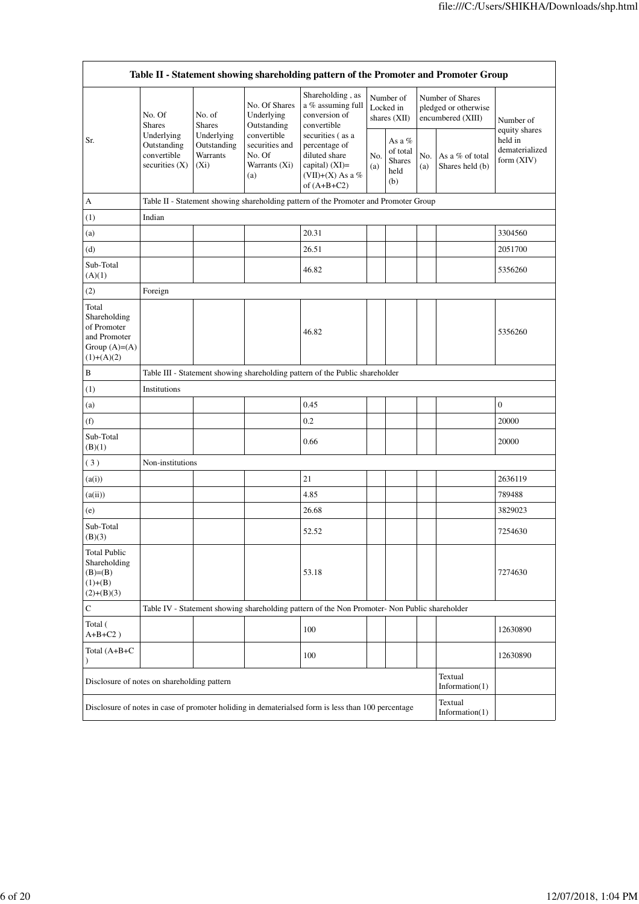| Table II - Statement showing shareholding pattern of the Promoter and Promoter Group     |                                                                                         |                                                                              |                                                                 |                                                                                                           |            |                                                    |            |                                                               |                                                            |  |
|------------------------------------------------------------------------------------------|-----------------------------------------------------------------------------------------|------------------------------------------------------------------------------|-----------------------------------------------------------------|-----------------------------------------------------------------------------------------------------------|------------|----------------------------------------------------|------------|---------------------------------------------------------------|------------------------------------------------------------|--|
|                                                                                          | No. Of<br><b>Shares</b><br>Underlying<br>Outstanding<br>convertible<br>securities $(X)$ | No. of<br><b>Shares</b>                                                      | No. Of Shares<br>Underlying<br>Outstanding                      | Shareholding, as<br>a % assuming full<br>conversion of<br>convertible                                     |            | Number of<br>Locked in<br>shares $(XII)$           |            | Number of Shares<br>pledged or otherwise<br>encumbered (XIII) | Number of                                                  |  |
| Sr.                                                                                      |                                                                                         | Underlying<br>Outstanding<br>Warrants<br>$(X_i)$                             | convertible<br>securities and<br>No. Of<br>Warrants (Xi)<br>(a) | securities (as a<br>percentage of<br>diluted share<br>capital) (XI)=<br>(VII)+(X) As a %<br>of $(A+B+C2)$ | No.<br>(a) | As a %<br>of total<br><b>Shares</b><br>held<br>(b) | No.<br>(a) | As a % of total<br>Shares held (b)                            | equity shares<br>held in<br>dematerialized<br>form $(XIV)$ |  |
| А                                                                                        |                                                                                         |                                                                              |                                                                 | Table II - Statement showing shareholding pattern of the Promoter and Promoter Group                      |            |                                                    |            |                                                               |                                                            |  |
| (1)                                                                                      | Indian                                                                                  |                                                                              |                                                                 |                                                                                                           |            |                                                    |            |                                                               |                                                            |  |
| (a)                                                                                      |                                                                                         |                                                                              |                                                                 | 20.31                                                                                                     |            |                                                    |            |                                                               | 3304560                                                    |  |
| (d)                                                                                      |                                                                                         |                                                                              |                                                                 | 26.51                                                                                                     |            |                                                    |            |                                                               | 2051700                                                    |  |
| Sub-Total<br>(A)(1)                                                                      |                                                                                         |                                                                              |                                                                 | 46.82                                                                                                     |            |                                                    |            |                                                               | 5356260                                                    |  |
| (2)                                                                                      | Foreign                                                                                 |                                                                              |                                                                 |                                                                                                           |            |                                                    |            |                                                               |                                                            |  |
| Total<br>Shareholding<br>of Promoter<br>and Promoter<br>Group $(A)= (A)$<br>$(1)+(A)(2)$ |                                                                                         |                                                                              |                                                                 | 46.82                                                                                                     |            |                                                    |            |                                                               | 5356260                                                    |  |
| В                                                                                        |                                                                                         | Table III - Statement showing shareholding pattern of the Public shareholder |                                                                 |                                                                                                           |            |                                                    |            |                                                               |                                                            |  |
| (1)                                                                                      | Institutions                                                                            |                                                                              |                                                                 |                                                                                                           |            |                                                    |            |                                                               |                                                            |  |
| (a)                                                                                      |                                                                                         |                                                                              |                                                                 | 0.45                                                                                                      |            |                                                    |            |                                                               | $\boldsymbol{0}$                                           |  |
| (f)                                                                                      |                                                                                         |                                                                              |                                                                 | 0.2                                                                                                       |            |                                                    |            |                                                               | 20000                                                      |  |
| Sub-Total<br>(B)(1)                                                                      |                                                                                         |                                                                              |                                                                 | 0.66                                                                                                      |            |                                                    |            |                                                               | 20000                                                      |  |
| (3)                                                                                      | Non-institutions                                                                        |                                                                              |                                                                 |                                                                                                           |            |                                                    |            |                                                               |                                                            |  |
| (a(i))                                                                                   |                                                                                         |                                                                              |                                                                 | 21                                                                                                        |            |                                                    |            |                                                               | 2636119                                                    |  |
| (a(ii))                                                                                  |                                                                                         |                                                                              |                                                                 | 4.85                                                                                                      |            |                                                    |            |                                                               | 789488                                                     |  |
| (e)                                                                                      |                                                                                         |                                                                              |                                                                 | 26.68                                                                                                     |            |                                                    |            |                                                               | 3829023                                                    |  |
| Sub-Total<br>(B)(3)                                                                      |                                                                                         |                                                                              |                                                                 | 52.52                                                                                                     |            |                                                    |            |                                                               | 7254630                                                    |  |
| <b>Total Public</b><br>Shareholding<br>$(B)= (B)$<br>$(1)+(B)$<br>$(2)+(B)(3)$           |                                                                                         |                                                                              |                                                                 | 53.18                                                                                                     |            |                                                    |            |                                                               | 7274630                                                    |  |
| $\mathbf C$                                                                              |                                                                                         |                                                                              |                                                                 | Table IV - Statement showing shareholding pattern of the Non Promoter- Non Public shareholder             |            |                                                    |            |                                                               |                                                            |  |
| Total (<br>$A+B+C2$ )                                                                    |                                                                                         |                                                                              |                                                                 | 100                                                                                                       |            |                                                    |            |                                                               | 12630890                                                   |  |
| Total (A+B+C<br>$\mathcal{E}$                                                            |                                                                                         |                                                                              |                                                                 | 100                                                                                                       |            |                                                    |            |                                                               | 12630890                                                   |  |
| Disclosure of notes on shareholding pattern                                              |                                                                                         |                                                                              |                                                                 |                                                                                                           |            |                                                    |            | Textual<br>Information $(1)$                                  |                                                            |  |
|                                                                                          |                                                                                         |                                                                              |                                                                 | Disclosure of notes in case of promoter holiding in dematerialsed form is less than 100 percentage        |            |                                                    |            | Textual<br>Information(1)                                     |                                                            |  |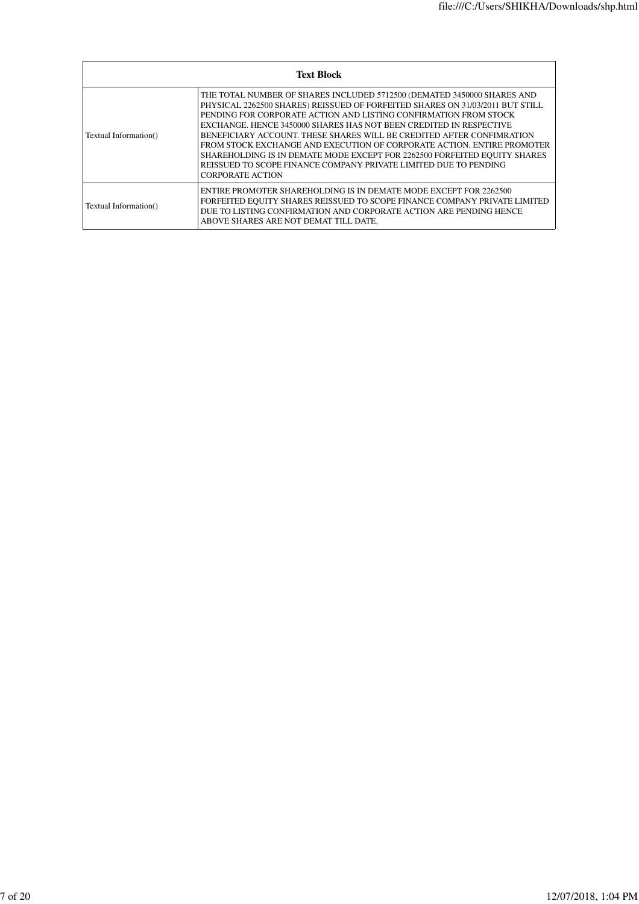| <b>Text Block</b>     |                                                                                                                                                                                                                                                                                                                                                                                                                                                                                                                                                                                                                                   |  |  |  |  |  |  |
|-----------------------|-----------------------------------------------------------------------------------------------------------------------------------------------------------------------------------------------------------------------------------------------------------------------------------------------------------------------------------------------------------------------------------------------------------------------------------------------------------------------------------------------------------------------------------------------------------------------------------------------------------------------------------|--|--|--|--|--|--|
| Textual Information() | THE TOTAL NUMBER OF SHARES INCLUDED 5712500 (DEMATED 3450000 SHARES AND<br>PHYSICAL 2262500 SHARES) REISSUED OF FORFEITED SHARES ON 31/03/2011 BUT STILL<br>PENDING FOR CORPORATE ACTION AND LISTING CONFIRMATION FROM STOCK<br>EXCHANGE. HENCE 3450000 SHARES HAS NOT BEEN CREDITED IN RESPECTIVE<br>BENEFICIARY ACCOUNT. THESE SHARES WILL BE CREDITED AFTER CONFIMRATION<br>FROM STOCK EXCHANGE AND EXECUTION OF CORPORATE ACTION. ENTIRE PROMOTER<br>SHAREHOLDING IS IN DEMATE MODE EXCEPT FOR 2262500 FORFEITED EQUITY SHARES<br>REISSUED TO SCOPE FINANCE COMPANY PRIVATE LIMITED DUE TO PENDING<br><b>CORPORATE ACTION</b> |  |  |  |  |  |  |
| Textual Information() | ENTIRE PROMOTER SHAREHOLDING IS IN DEMATE MODE EXCEPT FOR 2262500<br>FORFEITED EQUITY SHARES REISSUED TO SCOPE FINANCE COMPANY PRIVATE LIMITED<br>DUE TO LISTING CONFIRMATION AND CORPORATE ACTION ARE PENDING HENCE<br>ABOVE SHARES ARE NOT DEMAT TILL DATE.                                                                                                                                                                                                                                                                                                                                                                     |  |  |  |  |  |  |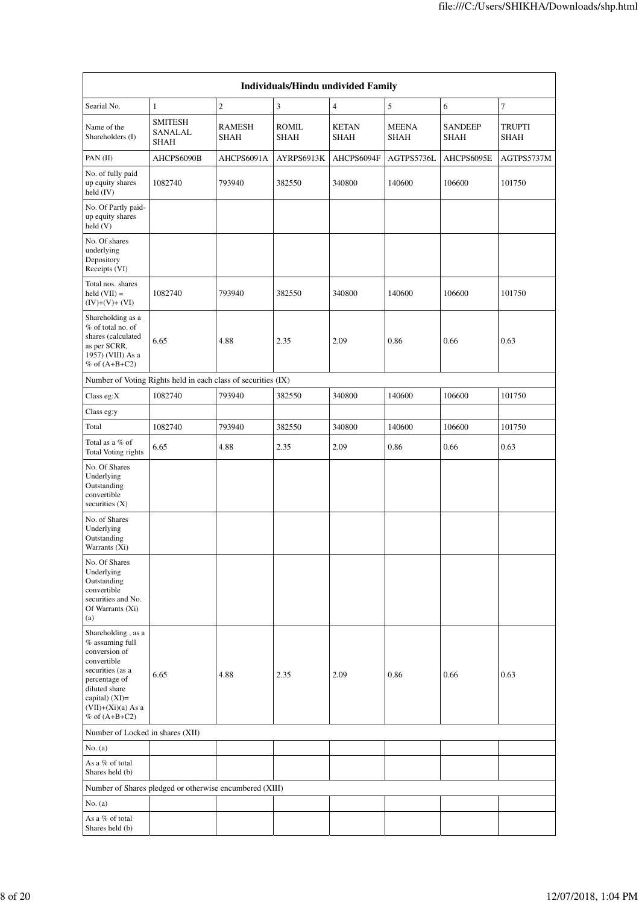|                                                                                                                                                                                               |                                                               |                              | Individuals/Hindu undivided Family |                             |                      |                        |                              |
|-----------------------------------------------------------------------------------------------------------------------------------------------------------------------------------------------|---------------------------------------------------------------|------------------------------|------------------------------------|-----------------------------|----------------------|------------------------|------------------------------|
| Searial No.                                                                                                                                                                                   | $\mathbf{1}$                                                  | $\overline{c}$               | $\mathfrak{Z}$                     | $\overline{4}$              | 5                    | 6                      | $\boldsymbol{7}$             |
| Name of the<br>Shareholders (I)                                                                                                                                                               | <b>SMITESH</b><br>SANALAL<br><b>SHAH</b>                      | <b>RAMESH</b><br><b>SHAH</b> | ROMIL<br><b>SHAH</b>               | <b>KETAN</b><br><b>SHAH</b> | <b>MEENA</b><br>SHAH | <b>SANDEEP</b><br>SHAH | <b>TRUPTI</b><br><b>SHAH</b> |
| PAN (II)                                                                                                                                                                                      | AHCPS6090B                                                    | AHCPS6091A                   | AYRPS6913K                         | AHCPS6094F                  | AGTPS5736L           | AHCPS6095E             | AGTPS5737M                   |
| No. of fully paid<br>up equity shares<br>held (IV)                                                                                                                                            | 1082740                                                       | 793940                       | 382550                             | 340800                      | 140600               | 106600                 | 101750                       |
| No. Of Partly paid-<br>up equity shares<br>held (V)                                                                                                                                           |                                                               |                              |                                    |                             |                      |                        |                              |
| No. Of shares<br>underlying<br>Depository<br>Receipts (VI)                                                                                                                                    |                                                               |                              |                                    |                             |                      |                        |                              |
| Total nos. shares<br>$held (VII) =$<br>$(IV)+(V)+(VI)$                                                                                                                                        | 1082740                                                       | 793940                       | 382550                             | 340800                      | 140600               | 106600                 | 101750                       |
| Shareholding as a<br>% of total no. of<br>shares (calculated<br>as per SCRR,<br>1957) (VIII) As a<br>% of $(A+B+C2)$                                                                          | 6.65                                                          | 4.88                         | 2.35                               | 2.09                        | 0.86                 | 0.66                   | 0.63                         |
|                                                                                                                                                                                               | Number of Voting Rights held in each class of securities (IX) |                              |                                    |                             |                      |                        |                              |
| Class eg:X                                                                                                                                                                                    | 1082740                                                       | 793940                       | 382550                             | 340800                      | 140600               | 106600                 | 101750                       |
| Class eg:y                                                                                                                                                                                    |                                                               |                              |                                    |                             |                      |                        |                              |
| Total                                                                                                                                                                                         | 1082740                                                       | 793940                       | 382550                             | 340800                      | 140600               | 106600                 | 101750                       |
| Total as a % of<br>Total Voting rights                                                                                                                                                        | 6.65                                                          | 4.88                         | 2.35                               | 2.09                        | 0.86                 | 0.66                   | 0.63                         |
| No. Of Shares<br>Underlying<br>Outstanding<br>convertible<br>securities (X)                                                                                                                   |                                                               |                              |                                    |                             |                      |                        |                              |
| No. of Shares<br>Underlying<br>Outstanding<br>Warrants (Xi)                                                                                                                                   |                                                               |                              |                                    |                             |                      |                        |                              |
| No. Of Shares<br>Underlying<br>Outstanding<br>convertible<br>securities and No.<br>Of Warrants (Xi)<br>(a)                                                                                    |                                                               |                              |                                    |                             |                      |                        |                              |
| Shareholding, as a<br>% assuming full<br>conversion of<br>convertible<br>securities (as a<br>percentage of<br>diluted share<br>capital) $(XI)$ =<br>$(VII)+(Xi)(a) As a$<br>$%$ of $(A+B+C2)$ | 6.65                                                          | 4.88                         | 2.35                               | 2.09                        | 0.86                 | 0.66                   | 0.63                         |
| Number of Locked in shares (XII)                                                                                                                                                              |                                                               |                              |                                    |                             |                      |                        |                              |
| No. $(a)$                                                                                                                                                                                     |                                                               |                              |                                    |                             |                      |                        |                              |
| As a % of total<br>Shares held (b)                                                                                                                                                            |                                                               |                              |                                    |                             |                      |                        |                              |
|                                                                                                                                                                                               | Number of Shares pledged or otherwise encumbered (XIII)       |                              |                                    |                             |                      |                        |                              |
| No. (a)                                                                                                                                                                                       |                                                               |                              |                                    |                             |                      |                        |                              |
| As a % of total<br>Shares held (b)                                                                                                                                                            |                                                               |                              |                                    |                             |                      |                        |                              |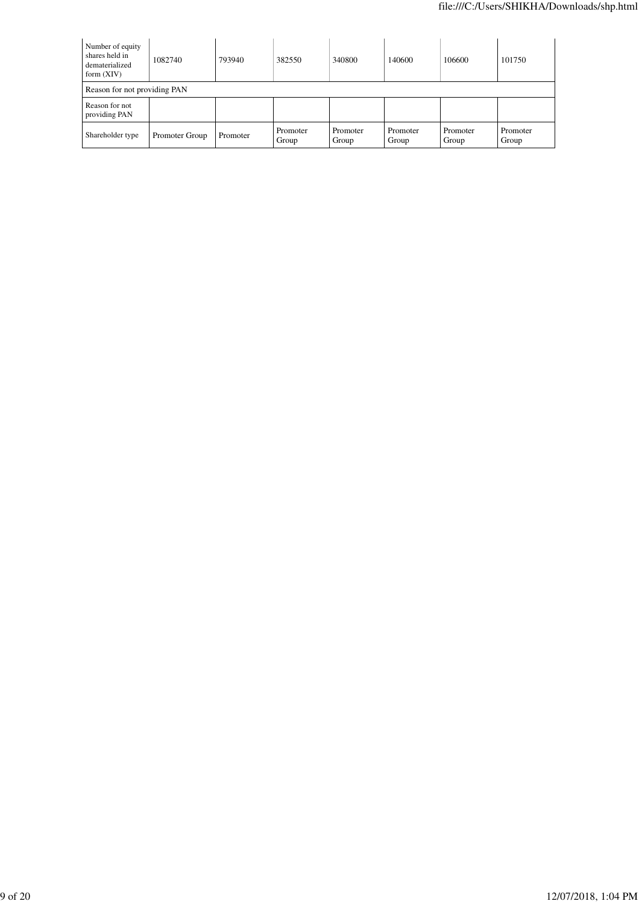| Number of equity<br>shares held in<br>dematerialized<br>form $(XIV)$ | 1082740        | 793940   | 382550            | 340800            | 140600            | 106600            | 101750            |  |  |
|----------------------------------------------------------------------|----------------|----------|-------------------|-------------------|-------------------|-------------------|-------------------|--|--|
| Reason for not providing PAN                                         |                |          |                   |                   |                   |                   |                   |  |  |
| Reason for not<br>providing PAN                                      |                |          |                   |                   |                   |                   |                   |  |  |
| Shareholder type                                                     | Promoter Group | Promoter | Promoter<br>Group | Promoter<br>Group | Promoter<br>Group | Promoter<br>Group | Promoter<br>Group |  |  |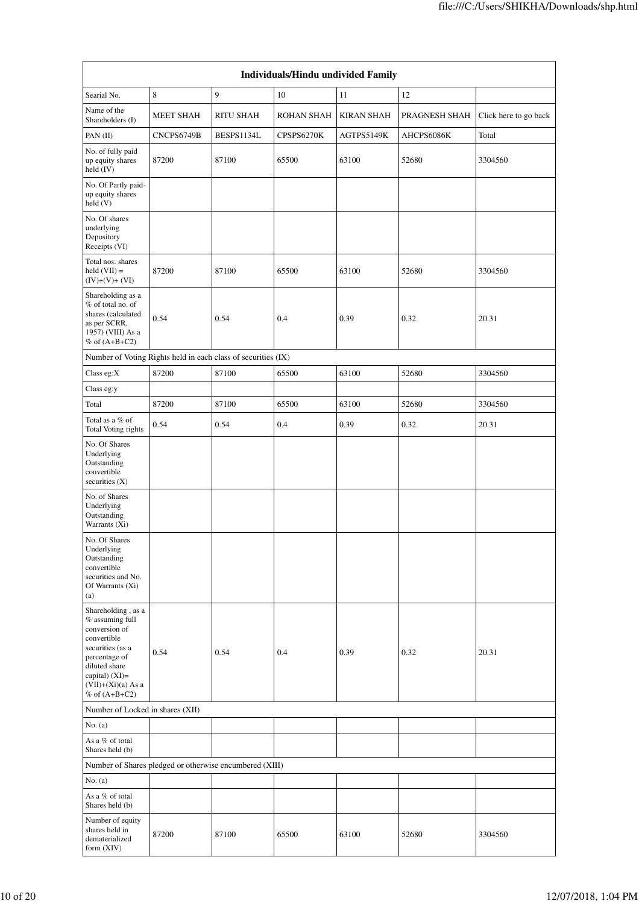| Individuals/Hindu undivided Family                                                                                                                                                         |                  |                  |                   |                   |               |                       |  |  |  |
|--------------------------------------------------------------------------------------------------------------------------------------------------------------------------------------------|------------------|------------------|-------------------|-------------------|---------------|-----------------------|--|--|--|
| Searial No.                                                                                                                                                                                | 8                | 9                | 10                | 11                | 12            |                       |  |  |  |
| Name of the<br>Shareholders (I)                                                                                                                                                            | <b>MEET SHAH</b> | <b>RITU SHAH</b> | <b>ROHAN SHAH</b> | <b>KIRAN SHAH</b> | PRAGNESH SHAH | Click here to go back |  |  |  |
| PAN $(II)$                                                                                                                                                                                 | CNCPS6749B       | BESPS1134L       | CPSPS6270K        | AGTPS5149K        | AHCPS6086K    | Total                 |  |  |  |
| No. of fully paid<br>up equity shares<br>held $(IV)$                                                                                                                                       | 87200            | 87100            | 65500             | 63100             | 52680         | 3304560               |  |  |  |
| No. Of Partly paid-<br>up equity shares<br>held (V)                                                                                                                                        |                  |                  |                   |                   |               |                       |  |  |  |
| No. Of shares<br>underlying<br>Depository<br>Receipts (VI)                                                                                                                                 |                  |                  |                   |                   |               |                       |  |  |  |
| Total nos. shares<br>$held (VII) =$<br>$(IV)+(V)+(VI)$                                                                                                                                     | 87200            | 87100            | 65500             | 63100             | 52680         | 3304560               |  |  |  |
| Shareholding as a<br>% of total no. of<br>shares (calculated<br>as per SCRR,<br>1957) (VIII) As a<br>% of $(A+B+C2)$                                                                       | 0.54             | 0.54             | 0.4               | 0.39              | 0.32          | 20.31                 |  |  |  |
| Number of Voting Rights held in each class of securities (IX)                                                                                                                              |                  |                  |                   |                   |               |                       |  |  |  |
| Class eg:X                                                                                                                                                                                 | 87200            | 87100            | 65500             | 63100             | 52680         | 3304560               |  |  |  |
| Class eg:y                                                                                                                                                                                 |                  |                  |                   |                   |               |                       |  |  |  |
| Total                                                                                                                                                                                      | 87200            | 87100            | 65500             | 63100             | 52680         | 3304560               |  |  |  |
| Total as a % of<br>Total Voting rights                                                                                                                                                     | 0.54             | 0.54             | 0.4               | 0.39              | 0.32          | 20.31                 |  |  |  |
| No. Of Shares<br>Underlying<br>Outstanding<br>convertible<br>securities $(X)$                                                                                                              |                  |                  |                   |                   |               |                       |  |  |  |
| No. of Shares<br>Underlying<br>Outstanding<br>Warrants (Xi)                                                                                                                                |                  |                  |                   |                   |               |                       |  |  |  |
| No. Of Shares<br>Underlying<br>Outstanding<br>convertible<br>securities and No.<br>Of Warrants (Xi)<br>(a)                                                                                 |                  |                  |                   |                   |               |                       |  |  |  |
| Shareholding, as a<br>% assuming full<br>conversion of<br>convertible<br>securities (as a<br>percentage of<br>diluted share<br>capital) $(XI)=$<br>$(VII)+(Xi)(a)$ As a<br>% of $(A+B+C2)$ | 0.54             | 0.54             | 0.4               | 0.39              | 0.32          | 20.31                 |  |  |  |
| Number of Locked in shares (XII)                                                                                                                                                           |                  |                  |                   |                   |               |                       |  |  |  |
| No. $(a)$                                                                                                                                                                                  |                  |                  |                   |                   |               |                       |  |  |  |
| As a % of total<br>Shares held (b)                                                                                                                                                         |                  |                  |                   |                   |               |                       |  |  |  |
| Number of Shares pledged or otherwise encumbered (XIII)                                                                                                                                    |                  |                  |                   |                   |               |                       |  |  |  |
| No. $(a)$                                                                                                                                                                                  |                  |                  |                   |                   |               |                       |  |  |  |
| As a % of total<br>Shares held (b)                                                                                                                                                         |                  |                  |                   |                   |               |                       |  |  |  |
| Number of equity<br>shares held in<br>dematerialized<br>form (XIV)                                                                                                                         | 87200            | 87100            | 65500             | 63100             | 52680         | 3304560               |  |  |  |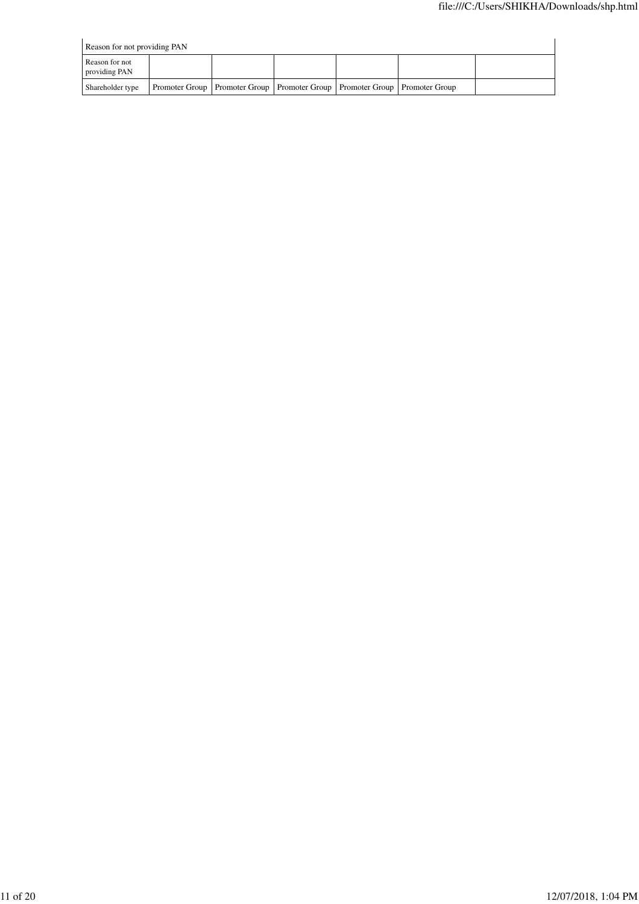| Reason for not providing PAN    |  |                                                                                    |  |  |  |  |  |  |
|---------------------------------|--|------------------------------------------------------------------------------------|--|--|--|--|--|--|
| Reason for not<br>providing PAN |  |                                                                                    |  |  |  |  |  |  |
| Shareholder type                |  | Promoter Group   Promoter Group   Promoter Group   Promoter Group   Promoter Group |  |  |  |  |  |  |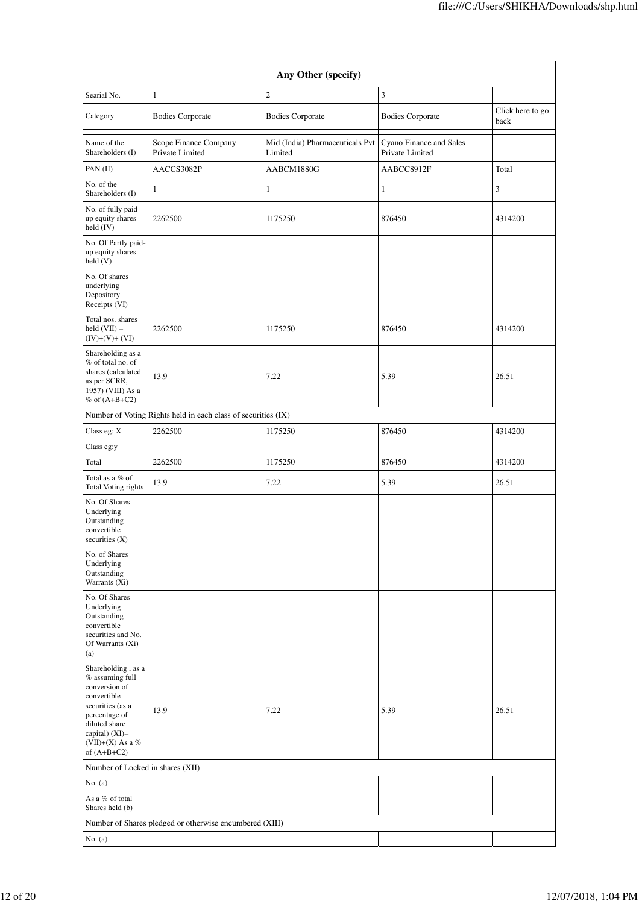|                                                                                                                      |                                                               | Any Other (specify)                        |                                            |                          |
|----------------------------------------------------------------------------------------------------------------------|---------------------------------------------------------------|--------------------------------------------|--------------------------------------------|--------------------------|
| Searial No.                                                                                                          | $\mathbf{1}$                                                  | $\overline{2}$                             | 3                                          |                          |
| Category                                                                                                             | <b>Bodies Corporate</b>                                       | <b>Bodies Corporate</b>                    | <b>Bodies Corporate</b>                    | Click here to go<br>back |
| Name of the<br>Shareholders (I)                                                                                      | Scope Finance Company<br>Private Limited                      | Mid (India) Pharmaceuticals Pvt<br>Limited | Cyano Finance and Sales<br>Private Limited |                          |
| PAN $(II)$                                                                                                           | AACCS3082P                                                    | AABCM1880G                                 | AABCC8912F                                 | Total                    |
| No. of the<br>Shareholders (I)                                                                                       | $\mathbf{1}$                                                  | $\mathbf{1}$                               | $\mathbf{1}$                               | 3                        |
| No. of fully paid<br>up equity shares<br>held $(IV)$                                                                 | 2262500                                                       | 1175250                                    | 876450                                     | 4314200                  |
| No. Of Partly paid-<br>up equity shares<br>held(V)                                                                   |                                                               |                                            |                                            |                          |
| No. Of shares<br>underlying<br>Depository<br>Receipts (VI)                                                           |                                                               |                                            |                                            |                          |
| Total nos. shares<br>$held (VII) =$<br>$(IV)+(V)+(VI)$                                                               | 2262500                                                       | 1175250                                    | 876450                                     | 4314200                  |
| Shareholding as a<br>% of total no. of<br>shares (calculated<br>as per SCRR,<br>1957) (VIII) As a<br>% of $(A+B+C2)$ | 13.9                                                          | 7.22                                       | 5.39                                       | 26.51                    |
|                                                                                                                      | Number of Voting Rights held in each class of securities (IX) |                                            |                                            |                          |
| Class eg: X                                                                                                          | 2262500                                                       | 1175250                                    | 876450                                     | 4314200                  |
| Class eg:y                                                                                                           |                                                               |                                            |                                            |                          |
| Total                                                                                                                | 2262500                                                       | 1175250                                    | 876450                                     | 4314200                  |
| Total as a % of<br>Total Voting rights                                                                               | 13.9                                                          | 7.22                                       | 5.39                                       | 26.51                    |
| No. Of Shares<br>Underlying<br>Outstanding<br>convertible<br>securities $(X)$                                        |                                                               |                                            |                                            |                          |
| No. of Shares<br>Underlying<br>Outstanding<br>Warrants (Xi)                                                          |                                                               |                                            |                                            |                          |
| No. Of Shares<br>Underlying<br>Outstanding<br>convertible<br>securities and No.<br>Of Warrants (Xi)<br>(a)           |                                                               |                                            |                                            |                          |
| Shareholding, as a<br>% assuming full<br>conversion of<br>convertible<br>securities (as a                            |                                                               |                                            |                                            |                          |
| percentage of<br>diluted share<br>capital) (XI)=<br>(VII)+(X) As a %<br>of $(A+B+C2)$                                | 13.9                                                          | 7.22                                       | 5.39                                       | 26.51                    |
| Number of Locked in shares (XII)                                                                                     |                                                               |                                            |                                            |                          |
| No. $(a)$                                                                                                            |                                                               |                                            |                                            |                          |
| As a % of total<br>Shares held (b)                                                                                   |                                                               |                                            |                                            |                          |
|                                                                                                                      | Number of Shares pledged or otherwise encumbered (XIII)       |                                            |                                            |                          |
| No. $(a)$                                                                                                            |                                                               |                                            |                                            |                          |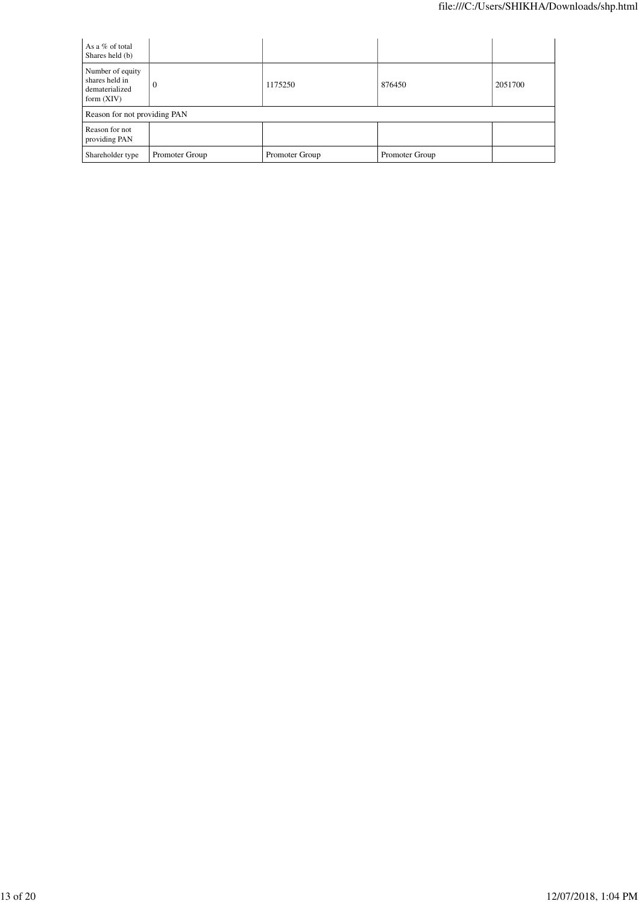| As a % of total<br>Shares held (b)                                   |                |                |                |         |
|----------------------------------------------------------------------|----------------|----------------|----------------|---------|
| Number of equity<br>shares held in<br>dematerialized<br>form $(XIV)$ | v              | 1175250        | 876450         | 2051700 |
| Reason for not providing PAN                                         |                |                |                |         |
| Reason for not<br>providing PAN                                      |                |                |                |         |
| Shareholder type                                                     | Promoter Group | Promoter Group | Promoter Group |         |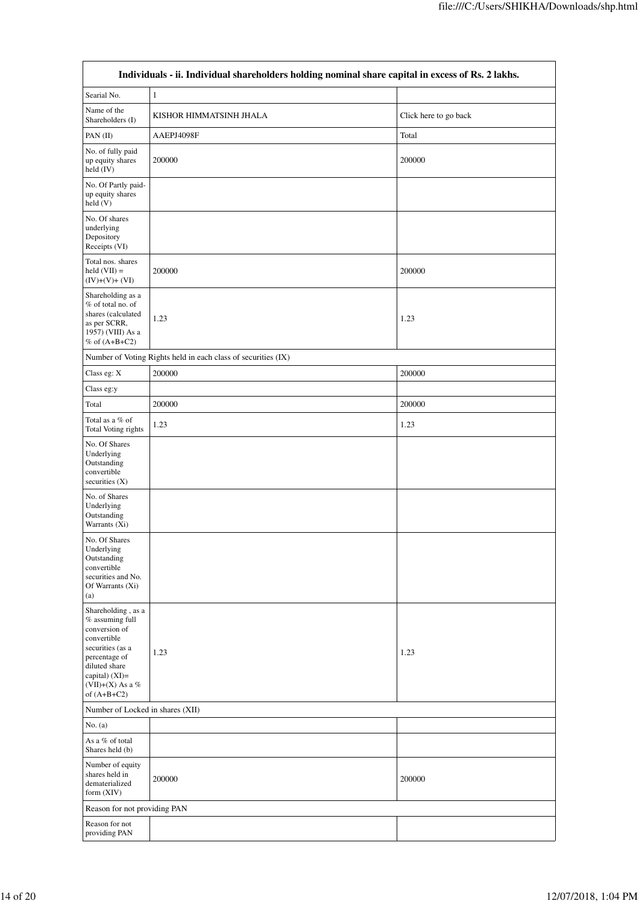| Individuals - ii. Individual shareholders holding nominal share capital in excess of Rs. 2 lakhs.                                                                                        |                                                               |        |  |  |
|------------------------------------------------------------------------------------------------------------------------------------------------------------------------------------------|---------------------------------------------------------------|--------|--|--|
| Searial No.                                                                                                                                                                              | 1                                                             |        |  |  |
| Name of the<br>Shareholders (I)                                                                                                                                                          | KISHOR HIMMATSINH JHALA<br>Click here to go back              |        |  |  |
| PAN $(II)$                                                                                                                                                                               | AAEPJ4098F                                                    | Total  |  |  |
| No. of fully paid<br>up equity shares<br>held (IV)                                                                                                                                       | 200000                                                        | 200000 |  |  |
| No. Of Partly paid-<br>up equity shares<br>held (V)                                                                                                                                      |                                                               |        |  |  |
| No. Of shares<br>underlying<br>Depository<br>Receipts (VI)                                                                                                                               |                                                               |        |  |  |
| Total nos. shares<br>$held (VII) =$<br>$(IV)+(V)+(VI)$                                                                                                                                   | 200000                                                        | 200000 |  |  |
| Shareholding as a<br>% of total no. of<br>shares (calculated<br>as per SCRR,<br>1957) (VIII) As a<br>% of $(A+B+C2)$                                                                     | 1.23                                                          | 1.23   |  |  |
|                                                                                                                                                                                          | Number of Voting Rights held in each class of securities (IX) |        |  |  |
| Class eg: X                                                                                                                                                                              | 200000                                                        | 200000 |  |  |
| Class eg:y                                                                                                                                                                               |                                                               |        |  |  |
| Total                                                                                                                                                                                    | 200000                                                        | 200000 |  |  |
| Total as a % of<br>Total Voting rights                                                                                                                                                   | 1.23                                                          | 1.23   |  |  |
| No. Of Shares<br>Underlying<br>Outstanding<br>convertible<br>securities (X)                                                                                                              |                                                               |        |  |  |
| No. of Shares<br>Underlying<br>Outstanding<br>Warrants (Xi)                                                                                                                              |                                                               |        |  |  |
| No. Of Shares<br>Underlying<br>Outstanding<br>convertible<br>securities and No.<br>Of Warrants (Xi)<br>(a)                                                                               |                                                               |        |  |  |
| Shareholding, as a<br>$\%$ assuming full<br>conversion of<br>convertible<br>securities (as a<br>percentage of<br>diluted share<br>capital) (XI)=<br>(VII)+(X) As a $\%$<br>of $(A+B+C2)$ | 1.23                                                          | 1.23   |  |  |
| Number of Locked in shares (XII)                                                                                                                                                         |                                                               |        |  |  |
| No. $(a)$                                                                                                                                                                                |                                                               |        |  |  |
| As a % of total<br>Shares held (b)                                                                                                                                                       |                                                               |        |  |  |
| Number of equity<br>shares held in<br>dematerialized<br>form (XIV)                                                                                                                       | 200000                                                        | 200000 |  |  |
| Reason for not providing PAN                                                                                                                                                             |                                                               |        |  |  |
| Reason for not<br>providing PAN                                                                                                                                                          |                                                               |        |  |  |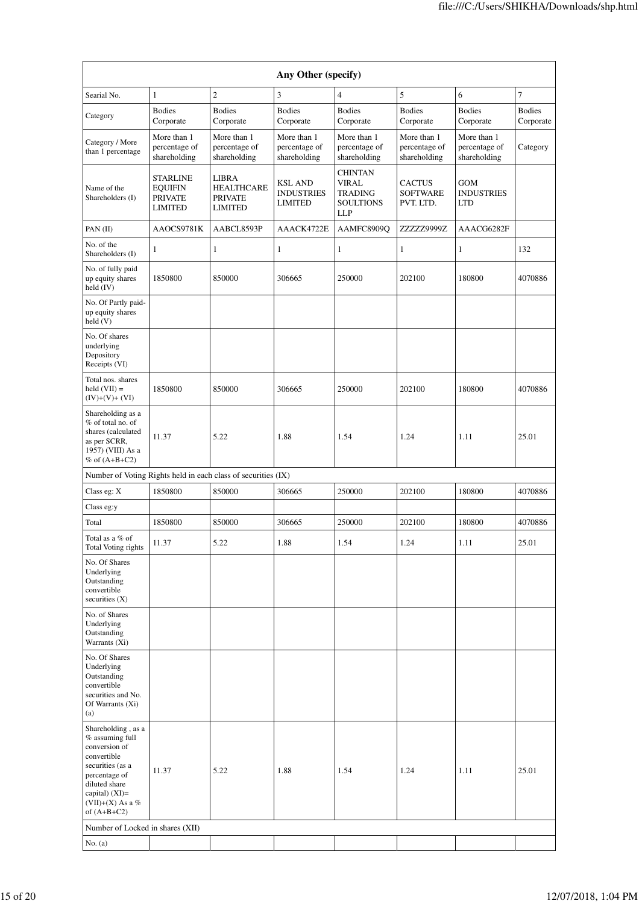| Any Other (specify)                                                                                                                                                                    |                                                                       |                                                                       |                                                       |                                                                             |                                               |                                               |                            |
|----------------------------------------------------------------------------------------------------------------------------------------------------------------------------------------|-----------------------------------------------------------------------|-----------------------------------------------------------------------|-------------------------------------------------------|-----------------------------------------------------------------------------|-----------------------------------------------|-----------------------------------------------|----------------------------|
| Searial No.                                                                                                                                                                            | $\mathbf{1}$                                                          | $\overline{c}$                                                        | 3                                                     | $\overline{4}$                                                              | 5                                             | 6                                             | 7                          |
| Category                                                                                                                                                                               | <b>Bodies</b><br>Corporate                                            | <b>Bodies</b><br>Corporate                                            | <b>Bodies</b><br>Corporate                            | <b>Bodies</b><br>Corporate                                                  | <b>Bodies</b><br>Corporate                    | <b>Bodies</b><br>Corporate                    | <b>Bodies</b><br>Corporate |
| Category / More<br>than 1 percentage                                                                                                                                                   | More than 1<br>percentage of<br>shareholding                          | More than 1<br>percentage of<br>shareholding                          | More than 1<br>percentage of<br>shareholding          | More than 1<br>percentage of<br>shareholding                                | More than 1<br>percentage of<br>shareholding  | More than 1<br>percentage of<br>shareholding  | Category                   |
| Name of the<br>Shareholders (I)                                                                                                                                                        | <b>STARLINE</b><br><b>EQUIFIN</b><br><b>PRIVATE</b><br><b>LIMITED</b> | <b>LIBRA</b><br><b>HEALTHCARE</b><br><b>PRIVATE</b><br><b>LIMITED</b> | <b>KSL AND</b><br><b>INDUSTRIES</b><br><b>LIMITED</b> | <b>CHINTAN</b><br><b>VIRAL</b><br>TRADING<br><b>SOULTIONS</b><br><b>LLP</b> | <b>CACTUS</b><br><b>SOFTWARE</b><br>PVT. LTD. | <b>GOM</b><br><b>INDUSTRIES</b><br><b>LTD</b> |                            |
| PAN $(II)$                                                                                                                                                                             | AAOCS9781K                                                            | AABCL8593P                                                            | AAACK4722E                                            | AAMFC8909Q                                                                  | ZZZZZ9999Z                                    | AAACG6282F                                    |                            |
| No. of the<br>Shareholders (I)                                                                                                                                                         | 1                                                                     | 1                                                                     | 1                                                     | 1                                                                           | $\mathbf{1}$                                  | $\mathbf{1}$                                  | 132                        |
| No. of fully paid<br>up equity shares<br>held (IV)                                                                                                                                     | 1850800                                                               | 850000                                                                | 306665                                                | 250000                                                                      | 202100                                        | 180800                                        | 4070886                    |
| No. Of Partly paid-<br>up equity shares<br>held (V)                                                                                                                                    |                                                                       |                                                                       |                                                       |                                                                             |                                               |                                               |                            |
| No. Of shares<br>underlying<br>Depository<br>Receipts (VI)                                                                                                                             |                                                                       |                                                                       |                                                       |                                                                             |                                               |                                               |                            |
| Total nos. shares<br>held $(VII) =$<br>$(IV)+(V)+(VI)$                                                                                                                                 | 1850800                                                               | 850000                                                                | 306665                                                | 250000                                                                      | 202100                                        | 180800                                        | 4070886                    |
| Shareholding as a<br>% of total no. of<br>shares (calculated<br>as per SCRR,<br>1957) (VIII) As a<br>% of $(A+B+C2)$                                                                   | 11.37                                                                 | 5.22                                                                  | 1.88                                                  | 1.54                                                                        | 1.24                                          | 1.11                                          | 25.01                      |
| Number of Voting Rights held in each class of securities (IX)                                                                                                                          |                                                                       |                                                                       |                                                       |                                                                             |                                               |                                               |                            |
| Class eg: X                                                                                                                                                                            | 1850800                                                               | 850000                                                                | 306665                                                | 250000                                                                      | 202100                                        | 180800                                        | 4070886                    |
| Class eg:y                                                                                                                                                                             |                                                                       |                                                                       |                                                       |                                                                             |                                               |                                               |                            |
| Total                                                                                                                                                                                  | 1850800                                                               | 850000                                                                | 306665                                                | 250000                                                                      | 202100                                        | 180800                                        | 4070886                    |
| Total as a % of<br>Total Voting rights                                                                                                                                                 | 11.37                                                                 | 5.22                                                                  | 1.88                                                  | 1.54                                                                        | 1.24                                          | 1.11                                          | 25.01                      |
| No. Of Shares<br>Underlying<br>Outstanding<br>convertible<br>securities $(X)$<br>No. of Shares                                                                                         |                                                                       |                                                                       |                                                       |                                                                             |                                               |                                               |                            |
| Underlying<br>Outstanding<br>Warrants (Xi)                                                                                                                                             |                                                                       |                                                                       |                                                       |                                                                             |                                               |                                               |                            |
| No. Of Shares<br>Underlying<br>Outstanding<br>convertible<br>securities and No.<br>Of Warrants (Xi)<br>(a)                                                                             |                                                                       |                                                                       |                                                       |                                                                             |                                               |                                               |                            |
| Shareholding, as a<br>$%$ assuming full<br>conversion of<br>convertible<br>securities (as a<br>percentage of<br>diluted share<br>capital) $(XI)=$<br>(VII)+(X) As a %<br>of $(A+B+C2)$ | 11.37                                                                 | 5.22                                                                  | 1.88                                                  | 1.54                                                                        | 1.24                                          | 1.11                                          | 25.01                      |
| Number of Locked in shares (XII)                                                                                                                                                       |                                                                       |                                                                       |                                                       |                                                                             |                                               |                                               |                            |
| No. $(a)$                                                                                                                                                                              |                                                                       |                                                                       |                                                       |                                                                             |                                               |                                               |                            |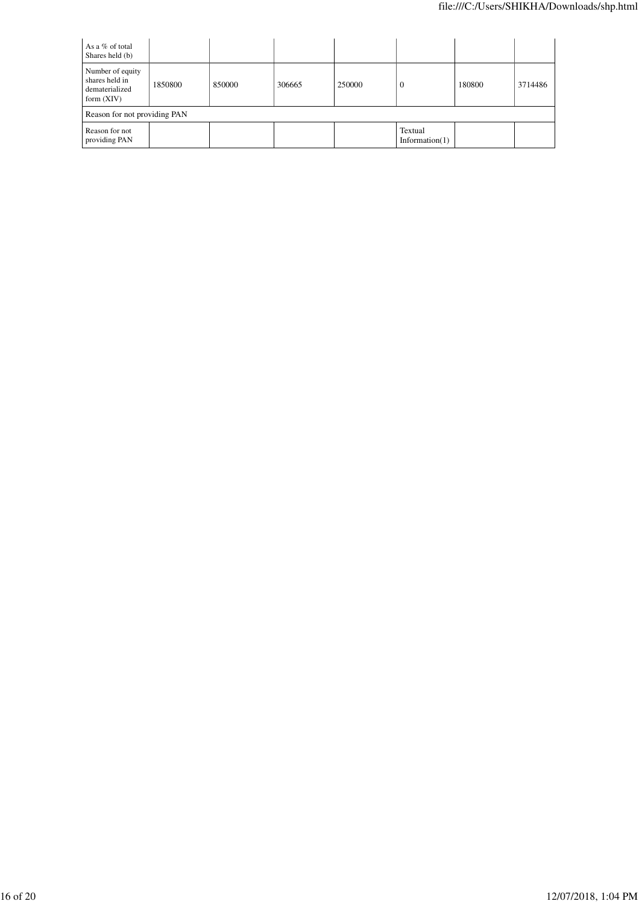| As a % of total<br>Shares held (b)                                   |         |        |        |        |                              |        |         |
|----------------------------------------------------------------------|---------|--------|--------|--------|------------------------------|--------|---------|
| Number of equity<br>shares held in<br>dematerialized<br>form $(XIV)$ | 1850800 | 850000 | 306665 | 250000 | U                            | 180800 | 3714486 |
| Reason for not providing PAN                                         |         |        |        |        |                              |        |         |
| Reason for not<br>providing PAN                                      |         |        |        |        | Textual<br>Information $(1)$ |        |         |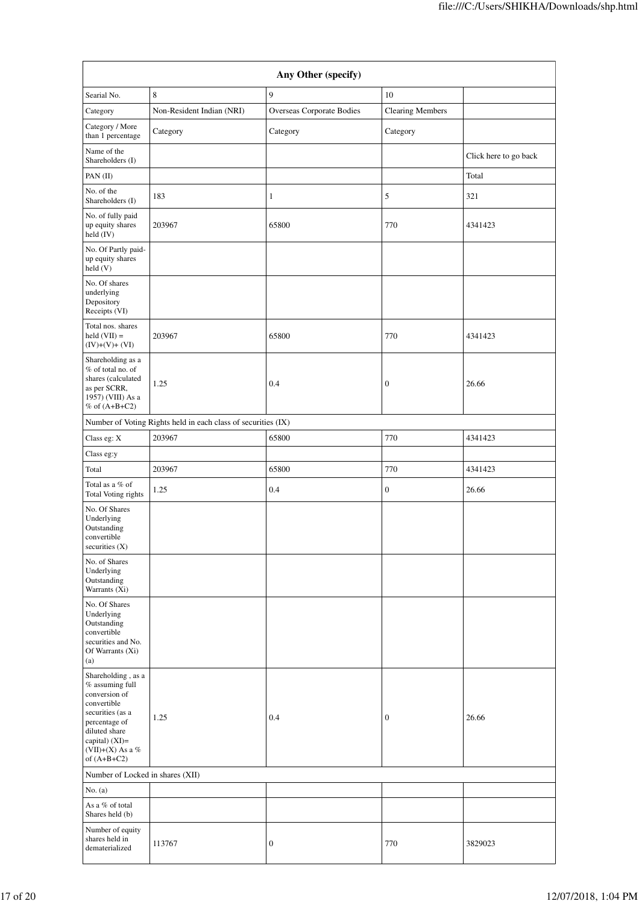| Any Other (specify)                                                                                                                                                                  |                                                               |                           |                         |                       |
|--------------------------------------------------------------------------------------------------------------------------------------------------------------------------------------|---------------------------------------------------------------|---------------------------|-------------------------|-----------------------|
| Searial No.                                                                                                                                                                          | 8                                                             | 9                         | 10                      |                       |
| Category                                                                                                                                                                             | Non-Resident Indian (NRI)                                     | Overseas Corporate Bodies | <b>Clearing Members</b> |                       |
| Category / More<br>than 1 percentage                                                                                                                                                 | Category                                                      | Category                  | Category                |                       |
| Name of the<br>Shareholders (I)                                                                                                                                                      |                                                               |                           |                         | Click here to go back |
| PAN (II)                                                                                                                                                                             |                                                               |                           |                         | Total                 |
| No. of the<br>Shareholders (I)                                                                                                                                                       | 183                                                           | 1                         | 5                       | 321                   |
| No. of fully paid<br>up equity shares<br>held (IV)                                                                                                                                   | 203967                                                        | 65800                     | 770                     | 4341423               |
| No. Of Partly paid-<br>up equity shares<br>held (V)                                                                                                                                  |                                                               |                           |                         |                       |
| No. Of shares<br>underlying<br>Depository<br>Receipts (VI)                                                                                                                           |                                                               |                           |                         |                       |
| Total nos. shares<br>$held (VII) =$<br>$(IV)+(V)+(VI)$                                                                                                                               | 203967                                                        | 65800                     | 770                     | 4341423               |
| Shareholding as a<br>% of total no. of<br>shares (calculated<br>as per SCRR,<br>1957) (VIII) As a<br>$%$ of $(A+B+C2)$                                                               | 1.25                                                          | 0.4                       | $\boldsymbol{0}$        | 26.66                 |
|                                                                                                                                                                                      | Number of Voting Rights held in each class of securities (IX) |                           |                         |                       |
| Class eg: X                                                                                                                                                                          | 203967                                                        | 65800                     | 770                     | 4341423               |
| Class eg:y                                                                                                                                                                           |                                                               |                           |                         |                       |
| Total                                                                                                                                                                                | 203967                                                        | 65800                     | 770                     | 4341423               |
| Total as a % of<br>Total Voting rights                                                                                                                                               | 1.25                                                          | 0.4                       | $\boldsymbol{0}$        | 26.66                 |
| No. Of Shares<br>Underlying<br>Outstanding<br>convertible<br>securities $(X)$                                                                                                        |                                                               |                           |                         |                       |
| No. of Shares<br>Underlying<br>Outstanding<br>Warrants (Xi)                                                                                                                          |                                                               |                           |                         |                       |
| No. Of Shares<br>Underlying<br>Outstanding<br>convertible<br>securities and No.<br>Of Warrants (Xi)<br>(a)                                                                           |                                                               |                           |                         |                       |
| Shareholding, as a<br>% assuming full<br>conversion of<br>convertible<br>securities (as a<br>percentage of<br>diluted share<br>capital) $(XI)=$<br>(VII)+(X) As a %<br>of $(A+B+C2)$ | 1.25                                                          | 0.4                       | $\boldsymbol{0}$        | 26.66                 |
| Number of Locked in shares (XII)                                                                                                                                                     |                                                               |                           |                         |                       |
| No. $(a)$                                                                                                                                                                            |                                                               |                           |                         |                       |
| As a % of total<br>Shares held (b)                                                                                                                                                   |                                                               |                           |                         |                       |
| Number of equity<br>shares held in<br>dematerialized                                                                                                                                 | 113767                                                        | $\boldsymbol{0}$          | 770                     | 3829023               |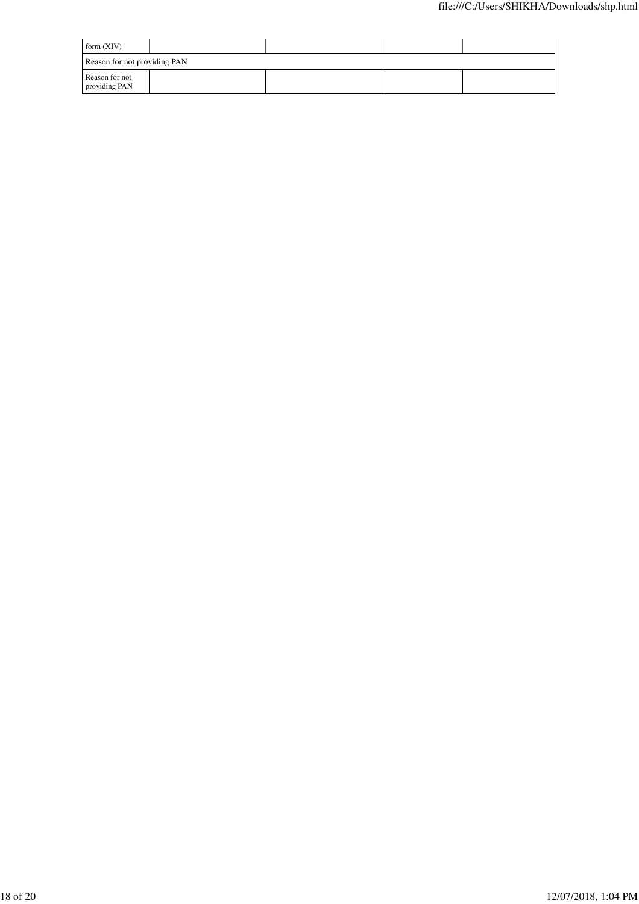| form $(XIV)$                    |  |  |
|---------------------------------|--|--|
| Reason for not providing PAN    |  |  |
| Reason for not<br>providing PAN |  |  |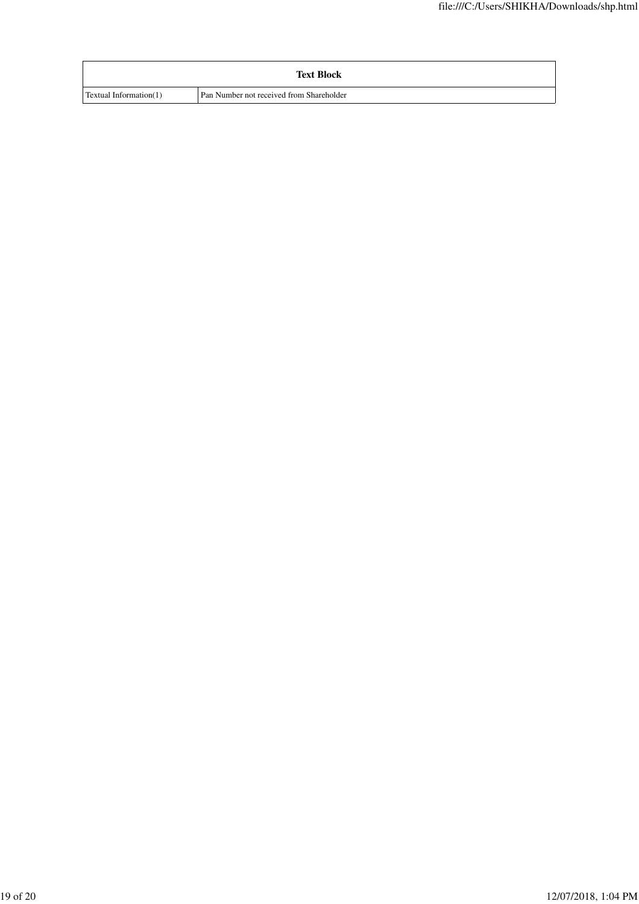|                               | <b>Text Block</b>                        |
|-------------------------------|------------------------------------------|
| <b>Textual Information(1)</b> | Pan Number not received from Shareholder |